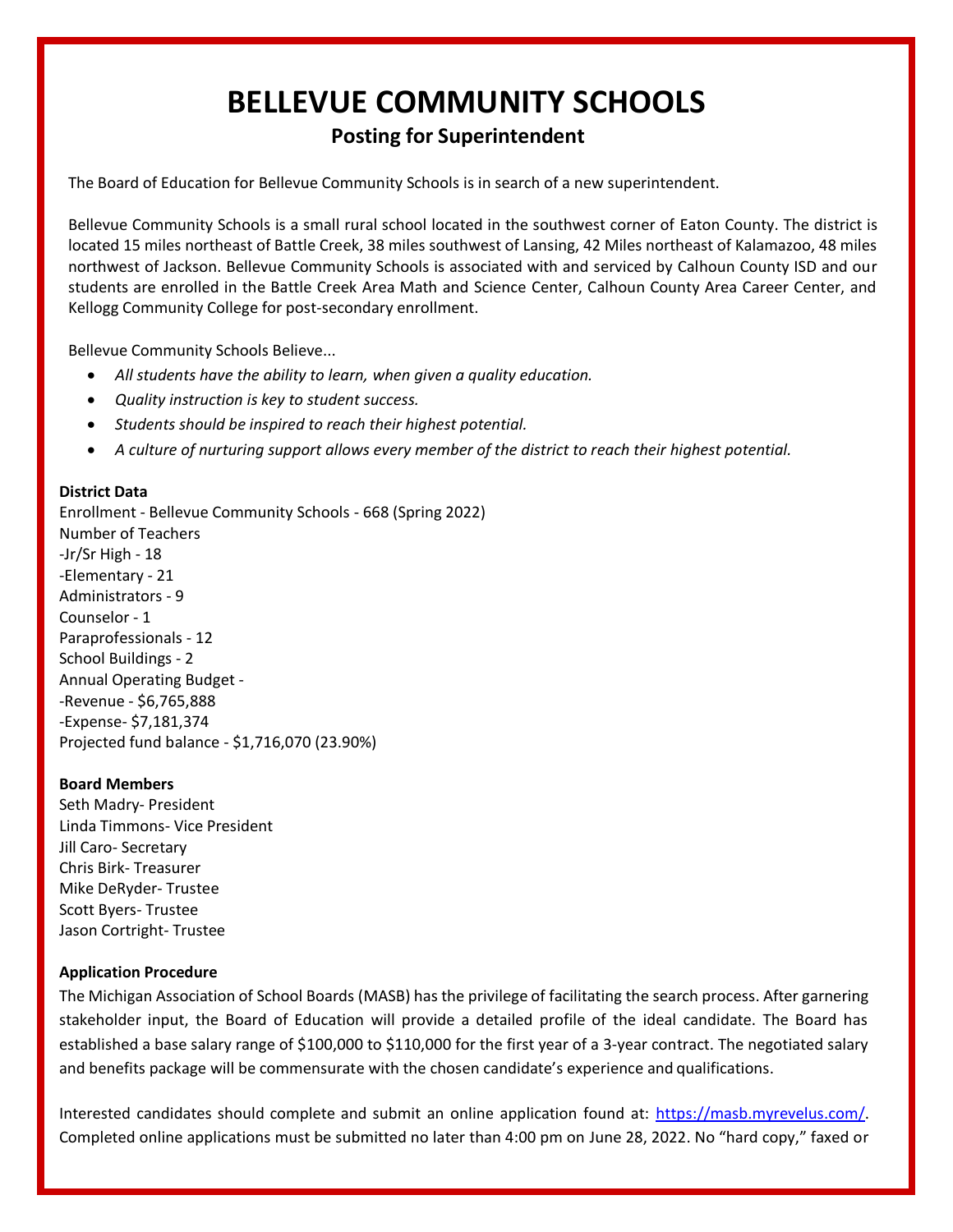# **BELLEVUE COMMUNITY SCHOOLS**

# **Posting for Superintendent**

The Board of Education for Bellevue Community Schools is in search of a new superintendent.

Bellevue Community Schools is a small rural school located in the southwest corner of Eaton County. The district is located 15 miles northeast of Battle Creek, 38 miles southwest of Lansing, 42 Miles northeast of Kalamazoo, 48 miles northwest of Jackson. Bellevue Community Schools is associated with and serviced by Calhoun County ISD and our students are enrolled in the Battle Creek Area Math and Science Center, Calhoun County Area Career Center, and Kellogg Community College for post-secondary enrollment.

Bellevue Community Schools Believe...

- *All students have the ability to learn, when given a quality education.*
- *Quality instruction is key to student success.*
- *Students should be inspired to reach their highest potential.*
- *A culture of nurturing support allows every member of the district to reach their highest potential.*

### **District Data**

Enrollment - Bellevue Community Schools - 668 (Spring 2022) Number of Teachers -Jr/Sr High - 18 -Elementary - 21 Administrators - 9 Counselor - 1 Paraprofessionals - 12 School Buildings - 2 Annual Operating Budget - -Revenue - \$6,765,888 -Expense- \$7,181,374 Projected fund balance - \$1,716,070 (23.90%)

#### **Board Members**

Seth Madry- President Linda Timmons- Vice President Jill Caro- Secretary Chris Birk- Treasurer Mike DeRyder- Trustee Scott Byers- Trustee Jason Cortright- Trustee

## **Application Procedure**

The Michigan Association of School Boards (MASB) has the privilege of facilitating the search process. After garnering stakeholder input, the Board of Education will provide a detailed profile of the ideal candidate. The Board has established a base salary range of \$100,000 to \$110,000 for the first year of a 3-year contract. The negotiated salary and benefits package will be commensurate with the chosen candidate's experience and qualifications.

Interested candidates should complete and submit an online application found at: [https://masb.myrevelus.com/.](https://masb.myrevelus.com/) Completed online applications must be submitted no later than 4:00 pm on June 28, 2022. No "hard copy," faxed or